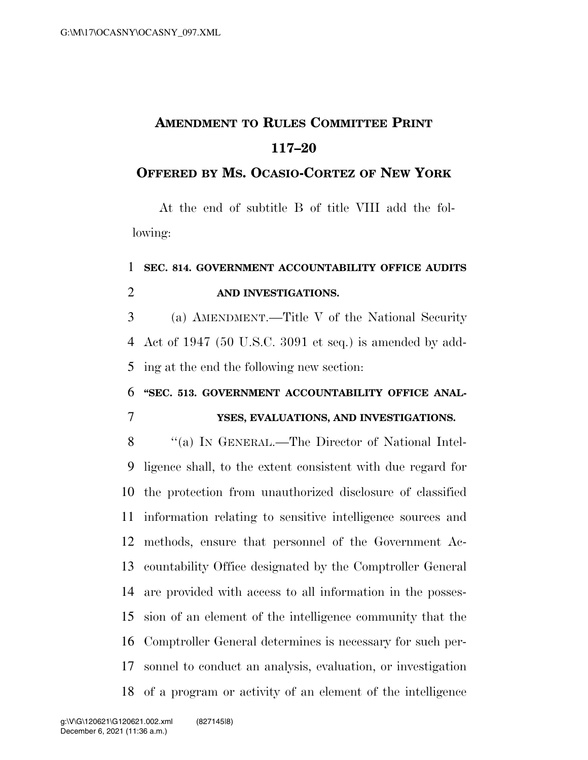## **AMENDMENT TO RULES COMMITTEE PRINT 117–20**

## **OFFERED BY MS. OCASIO-CORTEZ OF NEW YORK**

At the end of subtitle B of title VIII add the following:

## **SEC. 814. GOVERNMENT ACCOUNTABILITY OFFICE AUDITS AND INVESTIGATIONS.**

 (a) AMENDMENT.—Title V of the National Security Act of 1947 (50 U.S.C. 3091 et seq.) is amended by add-ing at the end the following new section:

## **''SEC. 513. GOVERNMENT ACCOUNTABILITY OFFICE ANAL-YSES, EVALUATIONS, AND INVESTIGATIONS.**

8 "(a) IN GENERAL.—The Director of National Intel- ligence shall, to the extent consistent with due regard for the protection from unauthorized disclosure of classified information relating to sensitive intelligence sources and methods, ensure that personnel of the Government Ac- countability Office designated by the Comptroller General are provided with access to all information in the posses- sion of an element of the intelligence community that the Comptroller General determines is necessary for such per- sonnel to conduct an analysis, evaluation, or investigation of a program or activity of an element of the intelligence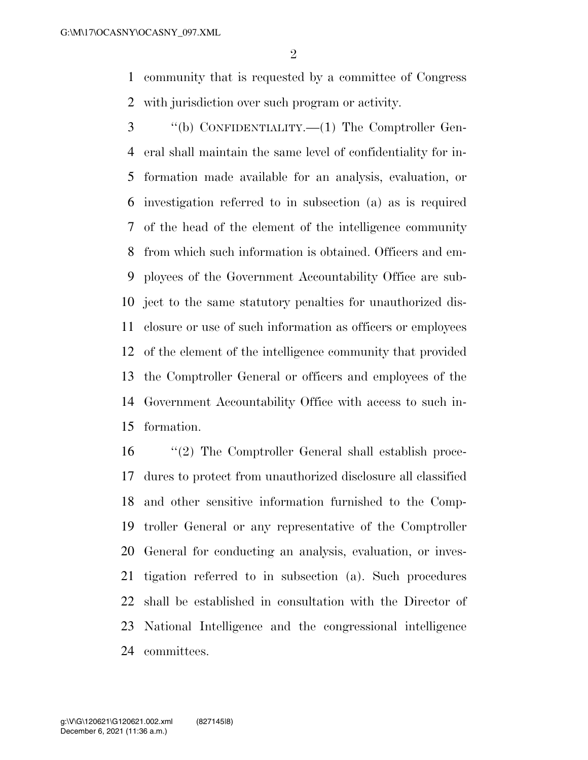community that is requested by a committee of Congress with jurisdiction over such program or activity.

 ''(b) CONFIDENTIALITY.—(1) The Comptroller Gen- eral shall maintain the same level of confidentiality for in- formation made available for an analysis, evaluation, or investigation referred to in subsection (a) as is required of the head of the element of the intelligence community from which such information is obtained. Officers and em- ployees of the Government Accountability Office are sub- ject to the same statutory penalties for unauthorized dis- closure or use of such information as officers or employees of the element of the intelligence community that provided the Comptroller General or officers and employees of the Government Accountability Office with access to such in-formation.

 ''(2) The Comptroller General shall establish proce- dures to protect from unauthorized disclosure all classified and other sensitive information furnished to the Comp- troller General or any representative of the Comptroller General for conducting an analysis, evaluation, or inves- tigation referred to in subsection (a). Such procedures shall be established in consultation with the Director of National Intelligence and the congressional intelligence committees.